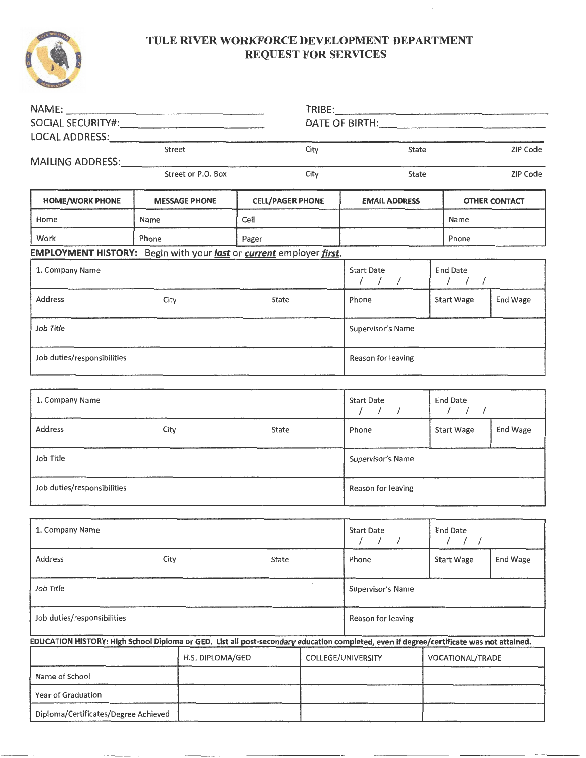

## **TULE RIVER WORKFORCE DEVELOPMENT DEPARTMENT REQUEST FOR SERVICES**

 $\cdot$ 

|                                                                                                                                          |                      |                         | DATE OF BIRTH: New York Contract the Contract of the Contract of the Contract of the Contract of the Contract of the Contract of the Contract of the Contract of the Contract of the Contract of the Contract of the Contract |                                           |                                                                   |                      |
|------------------------------------------------------------------------------------------------------------------------------------------|----------------------|-------------------------|-------------------------------------------------------------------------------------------------------------------------------------------------------------------------------------------------------------------------------|-------------------------------------------|-------------------------------------------------------------------|----------------------|
| LOCAL ADDRESS: NAMEL AND THE RESERVE TO A LOCAL ADDRESS:                                                                                 |                      |                         |                                                                                                                                                                                                                               |                                           |                                                                   |                      |
|                                                                                                                                          | Street               |                         | City                                                                                                                                                                                                                          | State                                     |                                                                   | ZIP Code             |
| MAILING ADDRESS: MAILING<br>Street or P.O. Box                                                                                           |                      | City                    | ZIP Code<br>State                                                                                                                                                                                                             |                                           |                                                                   |                      |
| <b>HOME/WORK PHONE</b>                                                                                                                   | <b>MESSAGE PHONE</b> | <b>CELL/PAGER PHONE</b> |                                                                                                                                                                                                                               | <b>EMAIL ADDRESS</b>                      |                                                                   | <b>OTHER CONTACT</b> |
| Home                                                                                                                                     | Name                 | Cell                    |                                                                                                                                                                                                                               |                                           | Name                                                              |                      |
| Work                                                                                                                                     | Phone                | Pager                   |                                                                                                                                                                                                                               |                                           | Phone                                                             |                      |
| EMPLOYMENT HISTORY: Begin with your last or current employer first.                                                                      |                      |                         |                                                                                                                                                                                                                               |                                           |                                                                   |                      |
| 1. Company Name                                                                                                                          |                      |                         |                                                                                                                                                                                                                               | <b>Start Date</b><br>111                  | <b>End Date</b><br>111                                            |                      |
| <b>Address</b>                                                                                                                           | City                 | State                   |                                                                                                                                                                                                                               | Phone                                     | <b>Start Wage</b>                                                 | End Wage             |
| Job Title                                                                                                                                |                      |                         | Supervisor's Name                                                                                                                                                                                                             |                                           |                                                                   |                      |
| Job duties/responsibilities                                                                                                              |                      |                         |                                                                                                                                                                                                                               | Reason for leaving                        |                                                                   |                      |
|                                                                                                                                          |                      |                         |                                                                                                                                                                                                                               |                                           |                                                                   |                      |
| 1. Company Name                                                                                                                          |                      |                         |                                                                                                                                                                                                                               | Start Date<br>111                         | <b>End Date</b><br>$\left  \begin{array}{cc} \end{array} \right $ |                      |
| Address                                                                                                                                  | City                 | State                   |                                                                                                                                                                                                                               | Phone                                     | Start Wage                                                        | End Wage             |
| Job Title                                                                                                                                |                      |                         |                                                                                                                                                                                                                               | Supervisor's Name                         |                                                                   |                      |
| Job duties/responsibilities                                                                                                              |                      |                         |                                                                                                                                                                                                                               | Reason for leaving                        |                                                                   |                      |
|                                                                                                                                          |                      |                         |                                                                                                                                                                                                                               |                                           |                                                                   |                      |
| 1. Company Name                                                                                                                          |                      |                         |                                                                                                                                                                                                                               | <b>Start Date</b><br>$\prime$<br>$\prime$ | <b>End Date</b><br>$\prime$<br>$\prime$<br>$\prime$               |                      |
| Address                                                                                                                                  | City                 | State                   |                                                                                                                                                                                                                               | Phone                                     | <b>Start Wage</b>                                                 | End Wage             |
| $\lambda$<br>Job Title                                                                                                                   |                      |                         | Supervisor's Name                                                                                                                                                                                                             |                                           |                                                                   |                      |
| Job duties/responsibilities                                                                                                              |                      |                         | Reason for leaving                                                                                                                                                                                                            |                                           |                                                                   |                      |
| EDUCATION HISTORY: High School Diploma or GED. List all post-secondary education completed, even if degree/certificate was not attained. |                      |                         |                                                                                                                                                                                                                               |                                           |                                                                   |                      |
|                                                                                                                                          |                      | H.S. DIPLOMA/GED        |                                                                                                                                                                                                                               | COLLEGE/UNIVERSITY                        | VOCATIONAL/TRADE                                                  |                      |
| Name of School                                                                                                                           |                      |                         |                                                                                                                                                                                                                               |                                           |                                                                   |                      |
| Year of Graduation                                                                                                                       |                      |                         |                                                                                                                                                                                                                               |                                           |                                                                   |                      |
| Diploma/Certificates/Degree Achieved                                                                                                     |                      |                         |                                                                                                                                                                                                                               |                                           |                                                                   |                      |